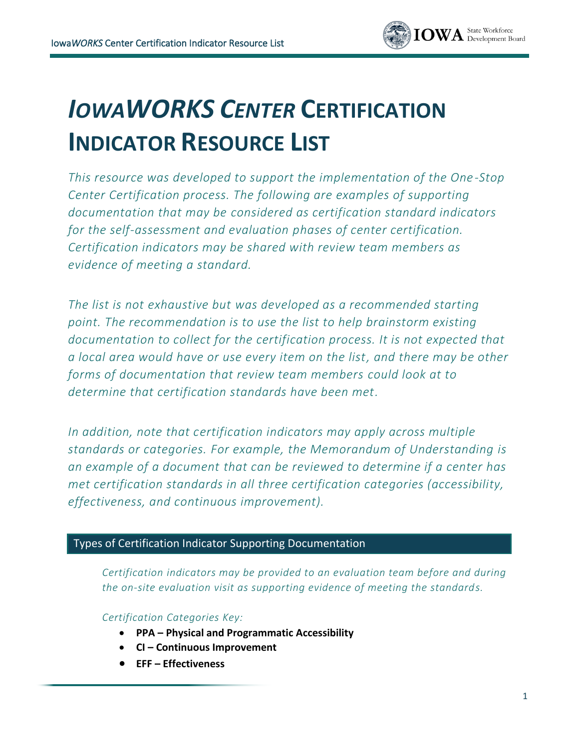

# *IOWAWORKS CENTER* **CERTIFICATION INDICATOR RESOURCE LIST**

*This resource was developed to support the implementation of the One -Stop Center Certification process. The following are examples of supporting documentation that may be considered as certification standard indicators for the self-assessment and evaluation phases of center certification. Certification indicators may be shared with review team members as evidence of meeting a standard.*

*The list is not exhaustive but was developed as a recommended starting point. The recommendation is to use the list to help brainstorm existing documentation to collect for the certification process. It is not expected that a local area would have or use every item on the list, and there may be other forms of documentation that review team members could look at to determine that certification standards have been met.*

*In addition, note that certification indicators may apply across multiple standards or categories. For example, the Memorandum of Understanding is an example of a document that can be reviewed to determine if a center has met certification standards in all three certification categories (accessibility, effectiveness, and continuous improvement).*

#### Types of Certification Indicator Supporting Documentation

*Certification indicators may be provided to an evaluation team before and during the on-site evaluation visit as supporting evidence of meeting the standards.*

*Certification Categories Key:* 

- **PPA – Physical and Programmatic Accessibility**
- **CI – Continuous Improvement**
- **EFF – Effectiveness**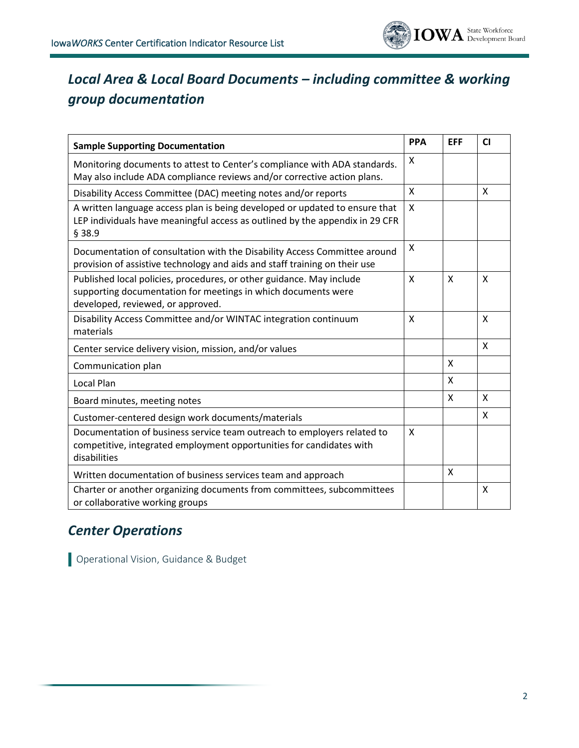

# *Local Area & Local Board Documents – including committee & working group documentation*

| <b>Sample Supporting Documentation</b>                                                                                                                                     | <b>PPA</b> | <b>EFF</b>                | <b>CI</b>    |
|----------------------------------------------------------------------------------------------------------------------------------------------------------------------------|------------|---------------------------|--------------|
| Monitoring documents to attest to Center's compliance with ADA standards.<br>May also include ADA compliance reviews and/or corrective action plans.                       | X          |                           |              |
| Disability Access Committee (DAC) meeting notes and/or reports                                                                                                             | X          |                           | X            |
| A written language access plan is being developed or updated to ensure that<br>LEP individuals have meaningful access as outlined by the appendix in 29 CFR<br>§ 38.9      | X          |                           |              |
| Documentation of consultation with the Disability Access Committee around<br>provision of assistive technology and aids and staff training on their use                    | X          |                           |              |
| Published local policies, procedures, or other guidance. May include<br>supporting documentation for meetings in which documents were<br>developed, reviewed, or approved. | X          | X                         | X            |
| Disability Access Committee and/or WINTAC integration continuum<br>materials                                                                                               | X          |                           | $\mathsf{X}$ |
| Center service delivery vision, mission, and/or values                                                                                                                     |            |                           | X            |
| Communication plan                                                                                                                                                         |            | $\boldsymbol{\mathsf{X}}$ |              |
| Local Plan                                                                                                                                                                 |            | $\boldsymbol{\mathsf{X}}$ |              |
| Board minutes, meeting notes                                                                                                                                               |            | X                         | X            |
| Customer-centered design work documents/materials                                                                                                                          |            |                           | X            |
| Documentation of business service team outreach to employers related to<br>competitive, integrated employment opportunities for candidates with<br>disabilities            | X          |                           |              |
| Written documentation of business services team and approach                                                                                                               |            | $\boldsymbol{\mathsf{X}}$ |              |
| Charter or another organizing documents from committees, subcommittees<br>or collaborative working groups                                                                  |            |                           | X            |

## *Center Operations*

Operational Vision, Guidance & Budget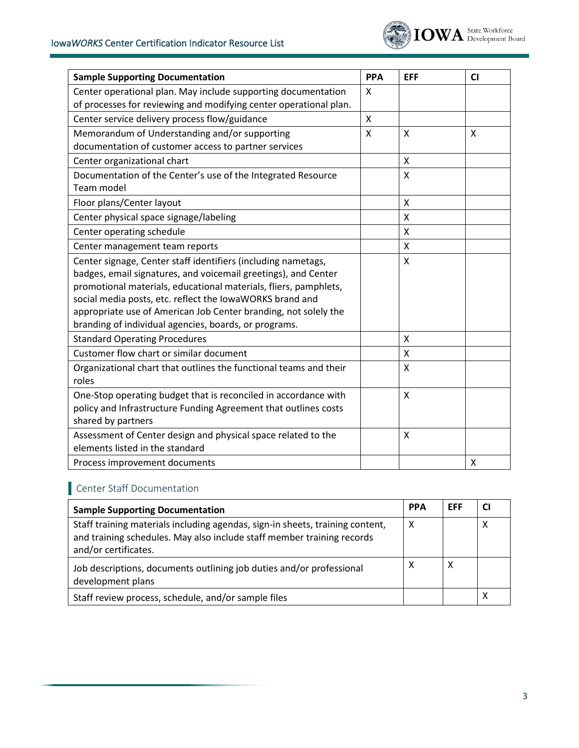

| <b>Sample Supporting Documentation</b>                                                                                                                                                                                                                                                                                                                                                      | <b>PPA</b>   | <b>EFF</b> | CI |
|---------------------------------------------------------------------------------------------------------------------------------------------------------------------------------------------------------------------------------------------------------------------------------------------------------------------------------------------------------------------------------------------|--------------|------------|----|
| Center operational plan. May include supporting documentation<br>of processes for reviewing and modifying center operational plan.                                                                                                                                                                                                                                                          | X            |            |    |
| Center service delivery process flow/guidance                                                                                                                                                                                                                                                                                                                                               | $\mathsf{X}$ |            |    |
| Memorandum of Understanding and/or supporting<br>documentation of customer access to partner services                                                                                                                                                                                                                                                                                       | $\sf X$      | X          | X  |
| Center organizational chart                                                                                                                                                                                                                                                                                                                                                                 |              | X          |    |
| Documentation of the Center's use of the Integrated Resource<br>Team model                                                                                                                                                                                                                                                                                                                  |              | X          |    |
| Floor plans/Center layout                                                                                                                                                                                                                                                                                                                                                                   |              | X          |    |
| Center physical space signage/labeling                                                                                                                                                                                                                                                                                                                                                      |              | X          |    |
| Center operating schedule                                                                                                                                                                                                                                                                                                                                                                   |              | X          |    |
| Center management team reports                                                                                                                                                                                                                                                                                                                                                              |              | X          |    |
| Center signage, Center staff identifiers (including nametags,<br>badges, email signatures, and voicemail greetings), and Center<br>promotional materials, educational materials, fliers, pamphlets,<br>social media posts, etc. reflect the IowaWORKS brand and<br>appropriate use of American Job Center branding, not solely the<br>branding of individual agencies, boards, or programs. |              | X          |    |
| <b>Standard Operating Procedures</b>                                                                                                                                                                                                                                                                                                                                                        |              | X          |    |
| Customer flow chart or similar document                                                                                                                                                                                                                                                                                                                                                     |              | X          |    |
| Organizational chart that outlines the functional teams and their<br>roles                                                                                                                                                                                                                                                                                                                  |              | X          |    |
| One-Stop operating budget that is reconciled in accordance with<br>policy and Infrastructure Funding Agreement that outlines costs<br>shared by partners                                                                                                                                                                                                                                    |              | X          |    |
| Assessment of Center design and physical space related to the<br>elements listed in the standard                                                                                                                                                                                                                                                                                            |              | X          |    |
| Process improvement documents                                                                                                                                                                                                                                                                                                                                                               |              |            | X  |

# Center Staff Documentation

| <b>Sample Supporting Documentation</b>                                                                                                                                          | <b>PPA</b> | EFF |   |
|---------------------------------------------------------------------------------------------------------------------------------------------------------------------------------|------------|-----|---|
| Staff training materials including agendas, sign-in sheets, training content,<br>and training schedules. May also include staff member training records<br>and/or certificates. | X          |     | Χ |
| Job descriptions, documents outlining job duties and/or professional<br>development plans                                                                                       | х          | X   |   |
| Staff review process, schedule, and/or sample files                                                                                                                             |            |     |   |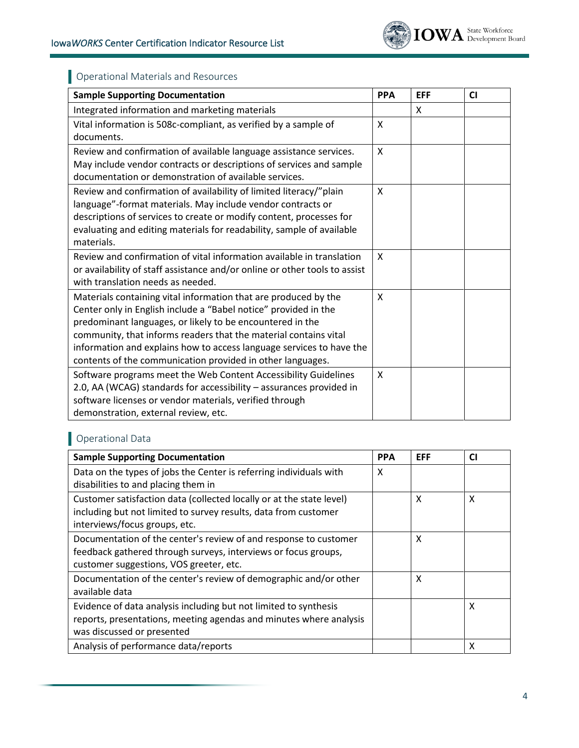

## Operational Materials and Resources

| <b>Sample Supporting Documentation</b>                                     | <b>PPA</b>   | <b>EFF</b> | CI |
|----------------------------------------------------------------------------|--------------|------------|----|
| Integrated information and marketing materials                             |              | X          |    |
| Vital information is 508c-compliant, as verified by a sample of            | X            |            |    |
| documents.                                                                 |              |            |    |
| Review and confirmation of available language assistance services.         | X            |            |    |
| May include vendor contracts or descriptions of services and sample        |              |            |    |
| documentation or demonstration of available services.                      |              |            |    |
| Review and confirmation of availability of limited literacy/"plain         | $\mathsf{x}$ |            |    |
| language"-format materials. May include vendor contracts or                |              |            |    |
| descriptions of services to create or modify content, processes for        |              |            |    |
| evaluating and editing materials for readability, sample of available      |              |            |    |
| materials.                                                                 |              |            |    |
| Review and confirmation of vital information available in translation      | $\mathsf{x}$ |            |    |
| or availability of staff assistance and/or online or other tools to assist |              |            |    |
| with translation needs as needed.                                          |              |            |    |
| Materials containing vital information that are produced by the            | X            |            |    |
| Center only in English include a "Babel notice" provided in the            |              |            |    |
| predominant languages, or likely to be encountered in the                  |              |            |    |
| community, that informs readers that the material contains vital           |              |            |    |
| information and explains how to access language services to have the       |              |            |    |
| contents of the communication provided in other languages.                 |              |            |    |
| Software programs meet the Web Content Accessibility Guidelines            | X            |            |    |
| 2.0, AA (WCAG) standards for accessibility - assurances provided in        |              |            |    |
| software licenses or vendor materials, verified through                    |              |            |    |
| demonstration, external review, etc.                                       |              |            |    |

#### Operational Data

| <b>Sample Supporting Documentation</b>                               | <b>PPA</b> | <b>EFF</b> | <b>CI</b> |
|----------------------------------------------------------------------|------------|------------|-----------|
| Data on the types of jobs the Center is referring individuals with   | X          |            |           |
| disabilities to and placing them in                                  |            |            |           |
| Customer satisfaction data (collected locally or at the state level) |            | X          | X         |
| including but not limited to survey results, data from customer      |            |            |           |
| interviews/focus groups, etc.                                        |            |            |           |
| Documentation of the center's review of and response to customer     |            | X          |           |
| feedback gathered through surveys, interviews or focus groups,       |            |            |           |
| customer suggestions, VOS greeter, etc.                              |            |            |           |
| Documentation of the center's review of demographic and/or other     |            | X          |           |
| available data                                                       |            |            |           |
| Evidence of data analysis including but not limited to synthesis     |            |            | X         |
| reports, presentations, meeting agendas and minutes where analysis   |            |            |           |
| was discussed or presented                                           |            |            |           |
| Analysis of performance data/reports                                 |            |            | X         |